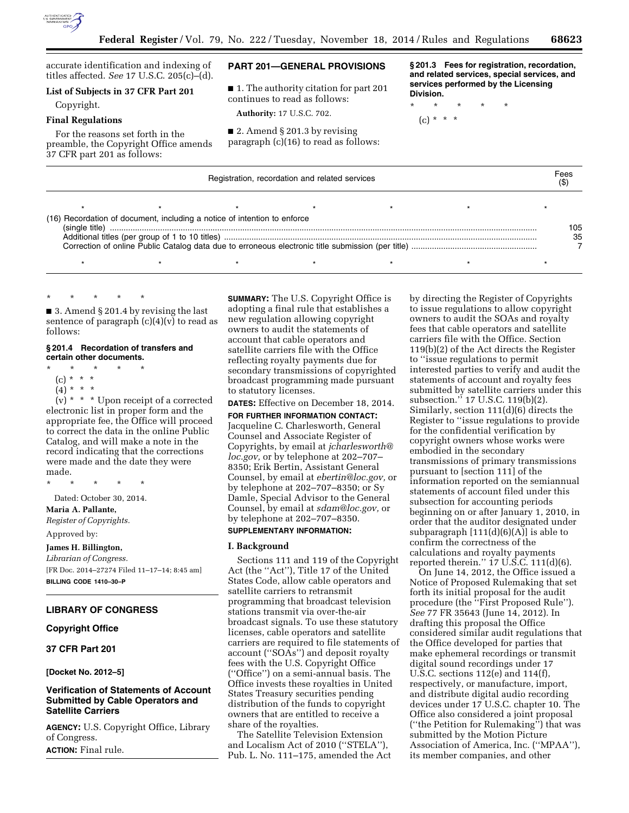

accurate identification and indexing of titles affected. *See* 17 U.S.C. 205(c)–(d).

### **List of Subjects in 37 CFR Part 201**

Copyright.

### **Final Regulations**

For the reasons set forth in the preamble, the Copyright Office amends 37 CFR part 201 as follows:

# **PART 201—GENERAL PROVISIONS**

■ 1. The authority citation for part 201 continues to read as follows:

**Authority:** 17 U.S.C. 702.

■ 2. Amend § 201.3 by revising paragraph (c)(16) to read as follows: **§ 201.3 Fees for registration, recordation, and related services, special services, and services performed by the Licensing Division.** 

\* \* \* \* \*  $(c) * * * *$ 

| Registration, recordation and related services                           |  |  |  |  |  | Fees      |  |
|--------------------------------------------------------------------------|--|--|--|--|--|-----------|--|
|                                                                          |  |  |  |  |  |           |  |
| (16) Recordation of document, including a notice of intention to enforce |  |  |  |  |  | 105<br>35 |  |
|                                                                          |  |  |  |  |  |           |  |
|                                                                          |  |  |  |  |  |           |  |

■ 3. Amend § 201.4 by revising the last sentence of paragraph  $(c)(4)(v)$  to read as follows:

#### **§ 201.4 Recordation of transfers and certain other documents.**

\* \* \* \* \*

\* \* \* \* \*

- $(c) * * * *$
- (4) \* \* \*

 $(v) * * *$  Upon receipt of a corrected electronic list in proper form and the appropriate fee, the Office will proceed to correct the data in the online Public Catalog, and will make a note in the record indicating that the corrections were made and the date they were made.

\* \* \* \* \*

Dated: October 30, 2014. **Maria A. Pallante,**  *Register of Copyrights.* 

Approved by:

# **James H. Billington,**

*Librarian of Congress.*  [FR Doc. 2014–27274 Filed 11–17–14; 8:45 am] **BILLING CODE 1410–30–P** 

# **LIBRARY OF CONGRESS**

## **Copyright Office**

# **37 CFR Part 201**

**[Docket No. 2012–5]** 

# **Verification of Statements of Account Submitted by Cable Operators and Satellite Carriers**

**AGENCY:** U.S. Copyright Office, Library of Congress.

**ACTION:** Final rule.

**SUMMARY:** The U.S. Copyright Office is adopting a final rule that establishes a new regulation allowing copyright owners to audit the statements of account that cable operators and satellite carriers file with the Office reflecting royalty payments due for secondary transmissions of copyrighted broadcast programming made pursuant to statutory licenses.

**DATES:** Effective on December 18, 2014.

**FOR FURTHER INFORMATION CONTACT:**  Jacqueline C. Charlesworth, General Counsel and Associate Register of Copyrights, by email at *[jcharlesworth@](mailto:jcharlesworth@loc.gov) [loc.gov,](mailto:jcharlesworth@loc.gov)* or by telephone at 202–707– 8350; Erik Bertin, Assistant General Counsel, by email at *[ebertin@loc.gov,](mailto:ebertin@loc.gov)* or by telephone at 202–707–8350; or Sy Damle, Special Advisor to the General Counsel, by email at *[sdam@loc.gov,](mailto:sdam@loc.gov)* or by telephone at 202–707–8350.

# **SUPPLEMENTARY INFORMATION:**

# **I. Background**

Sections 111 and 119 of the Copyright Act (the ''Act''), Title 17 of the United States Code, allow cable operators and satellite carriers to retransmit programming that broadcast television stations transmit via over-the-air broadcast signals. To use these statutory licenses, cable operators and satellite carriers are required to file statements of account (''SOAs'') and deposit royalty fees with the U.S. Copyright Office (''Office'') on a semi-annual basis. The Office invests these royalties in United States Treasury securities pending distribution of the funds to copyright owners that are entitled to receive a share of the royalties.

The Satellite Television Extension and Localism Act of 2010 (''STELA''), Pub. L. No. 111–175, amended the Act by directing the Register of Copyrights to issue regulations to allow copyright owners to audit the SOAs and royalty fees that cable operators and satellite carriers file with the Office. Section 119(b)(2) of the Act directs the Register to ''issue regulations to permit interested parties to verify and audit the statements of account and royalty fees submitted by satellite carriers under this subsection.'' 17 U.S.C. 119(b)(2). Similarly, section 111(d)(6) directs the Register to ''issue regulations to provide for the confidential verification by copyright owners whose works were embodied in the secondary transmissions of primary transmissions pursuant to [section 111] of the information reported on the semiannual statements of account filed under this subsection for accounting periods beginning on or after January 1, 2010, in order that the auditor designated under subparagraph  $[111(d)(6)(A)]$  is able to confirm the correctness of the calculations and royalty payments reported therein.'' 17 U.S.C. 111(d)(6).

On June 14, 2012, the Office issued a Notice of Proposed Rulemaking that set forth its initial proposal for the audit procedure (the ''First Proposed Rule''). *See* 77 FR 35643 (June 14, 2012). In drafting this proposal the Office considered similar audit regulations that the Office developed for parties that make ephemeral recordings or transmit digital sound recordings under 17 U.S.C. sections 112(e) and 114(f), respectively, or manufacture, import, and distribute digital audio recording devices under 17 U.S.C. chapter 10. The Office also considered a joint proposal (''the Petition for Rulemaking'') that was submitted by the Motion Picture Association of America, Inc. (''MPAA''), its member companies, and other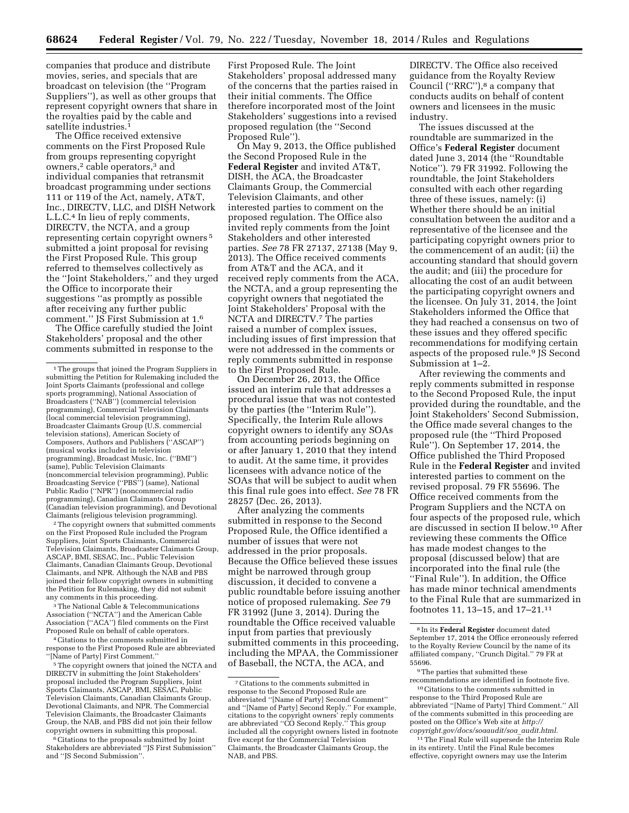companies that produce and distribute movies, series, and specials that are broadcast on television (the ''Program Suppliers''), as well as other groups that represent copyright owners that share in the royalties paid by the cable and satellite industries.<sup>1</sup>

The Office received extensive comments on the First Proposed Rule from groups representing copyright owners,2 cable operators,3 and individual companies that retransmit broadcast programming under sections 111 or 119 of the Act, namely, AT&T, Inc., DIRECTV, LLC, and DISH Network L.L.C.4 In lieu of reply comments, DIRECTV, the NCTA, and a group representing certain copyright owners 5 submitted a joint proposal for revising the First Proposed Rule. This group referred to themselves collectively as the ''Joint Stakeholders,'' and they urged the Office to incorporate their suggestions ''as promptly as possible after receiving any further public comment.'' JS First Submission at 1.6

The Office carefully studied the Joint Stakeholders' proposal and the other comments submitted in response to the

on the First Proposed Rule included the Program Suppliers, Joint Sports Claimants, Commercial Television Claimants, Broadcaster Claimants Group, ASCAP, BMI, SESAC, Inc., Public Television Claimants, Canadian Claimants Group, Devotional Claimants, and NPR. Although the NAB and PBS joined their fellow copyright owners in submitting the Petition for Rulemaking, they did not submit any comments in this proceeding.

3The National Cable & Telecommunications Association (''NCTA'') and the American Cable Association (''ACA'') filed comments on the First Proposed Rule on behalf of cable operators.

4Citations to the comments submitted in response to the First Proposed Rule are abbreviated ''[Name of Party] First Comment.''

5The copyright owners that joined the NCTA and DIRECTV in submitting the Joint Stakeholders' proposal included the Program Suppliers, Joint Sports Claimants, ASCAP, BMI, SESAC, Public Television Claimants, Canadian Claimants Group, Devotional Claimants, and NPR. The Commercial Television Claimants, the Broadcaster Claimants Group, the NAB, and PBS did not join their fellow copyright owners in submitting this proposal.

<sup>6</sup> Citations to the proposals submitted by Joint Stakeholders are abbreviated ''JS First Submission'' and ''JS Second Submission''.

First Proposed Rule. The Joint Stakeholders' proposal addressed many of the concerns that the parties raised in their initial comments. The Office therefore incorporated most of the Joint Stakeholders' suggestions into a revised proposed regulation (the ''Second Proposed Rule'').

On May 9, 2013, the Office published the Second Proposed Rule in the **Federal Register** and invited AT&T, DISH, the ACA, the Broadcaster Claimants Group, the Commercial Television Claimants, and other interested parties to comment on the proposed regulation. The Office also invited reply comments from the Joint Stakeholders and other interested parties. *See* 78 FR 27137, 27138 (May 9, 2013). The Office received comments from AT&T and the ACA, and it received reply comments from the ACA, the NCTA, and a group representing the copyright owners that negotiated the Joint Stakeholders' Proposal with the NCTA and DIRECTV.7 The parties raised a number of complex issues, including issues of first impression that were not addressed in the comments or reply comments submitted in response to the First Proposed Rule.

On December 26, 2013, the Office issued an interim rule that addresses a procedural issue that was not contested by the parties (the ''Interim Rule''). Specifically, the Interim Rule allows copyright owners to identify any SOAs from accounting periods beginning on or after January 1, 2010 that they intend to audit. At the same time, it provides licensees with advance notice of the SOAs that will be subject to audit when this final rule goes into effect. *See* 78 FR 28257 (Dec. 26, 2013).

After analyzing the comments submitted in response to the Second Proposed Rule, the Office identified a number of issues that were not addressed in the prior proposals. Because the Office believed these issues might be narrowed through group discussion, it decided to convene a public roundtable before issuing another notice of proposed rulemaking. *See* 79 FR 31992 (June 3, 2014). During the roundtable the Office received valuable input from parties that previously submitted comments in this proceeding, including the MPAA, the Commissioner of Baseball, the NCTA, the ACA, and

DIRECTV. The Office also received guidance from the Royalty Review Council ("RRC"),<sup>8</sup> a company that conducts audits on behalf of content owners and licensees in the music industry.

The issues discussed at the roundtable are summarized in the Office's **Federal Register** document dated June 3, 2014 (the ''Roundtable Notice''). 79 FR 31992. Following the roundtable, the Joint Stakeholders consulted with each other regarding three of these issues, namely: (i) Whether there should be an initial consultation between the auditor and a representative of the licensee and the participating copyright owners prior to the commencement of an audit; (ii) the accounting standard that should govern the audit; and (iii) the procedure for allocating the cost of an audit between the participating copyright owners and the licensee. On July 31, 2014, the Joint Stakeholders informed the Office that they had reached a consensus on two of these issues and they offered specific recommendations for modifying certain aspects of the proposed rule.9 JS Second Submission at 1–2.

After reviewing the comments and reply comments submitted in response to the Second Proposed Rule, the input provided during the roundtable, and the Joint Stakeholders' Second Submission, the Office made several changes to the proposed rule (the ''Third Proposed Rule''). On September 17, 2014, the Office published the Third Proposed Rule in the **Federal Register** and invited interested parties to comment on the revised proposal. 79 FR 55696. The Office received comments from the Program Suppliers and the NCTA on four aspects of the proposed rule, which are discussed in section II below.10 After reviewing these comments the Office has made modest changes to the proposal (discussed below) that are incorporated into the final rule (the ''Final Rule''). In addition, the Office has made minor technical amendments to the Final Rule that are summarized in footnotes 11, 13–15, and 17–21.11

recommendations are identified in footnote five. 10Citations to the comments submitted in response to the Third Proposed Rule are

abbreviated ''[Name of Party] Third Comment.'' All of the comments submitted in this proceeding are posted on the Office's Web site at *[http://](http://copyright.gov/docs/soaaudit/soa_audit.html) [copyright.gov/docs/soaaudit/soa](http://copyright.gov/docs/soaaudit/soa_audit.html)*\_*audit.html.* 

<sup>11</sup> The Final Rule will supersede the Interim Rule in its entirety. Until the Final Rule becomes effective, copyright owners may use the Interim

<sup>&</sup>lt;sup>1</sup>The groups that joined the Program Suppliers in submitting the Petition for Rulemaking included the Joint Sports Claimants (professional and college sports programming), National Association of Broadcasters (''NAB'') (commercial television programming), Commercial Television Claimants (local commercial television programming), Broadcaster Claimants Group (U.S. commercial television stations), American Society of Composers, Authors and Publishers (''ASCAP'') (musical works included in television programming), Broadcast Music, Inc. (''BMI'') (same), Public Television Claimants (noncommercial television programming), Public Broadcasting Service (''PBS'') (same), National Public Radio (''NPR'') (noncommercial radio programming), Canadian Claimants Group (Canadian television programming), and Devotional Claimants (religious television programming). 2The copyright owners that submitted comments

<sup>7</sup>Citations to the comments submitted in response to the Second Proposed Rule are abbreviated ''[Name of Party] Second Comment'' and ''[Name of Party] Second Reply.'' For example, citations to the copyright owners' reply comments are abbreviated ''CO Second Reply.'' This group included all the copyright owners listed in footnote five except for the Commercial Television Claimants, the Broadcaster Claimants Group, the NAB, and PBS.

<sup>8</sup> In its **Federal Register** document dated September 17, 2014 the Office erroneously referred to the Royalty Review Council by the name of its affiliated company, ''Crunch Digital.'' 79 FR at 55696.

<sup>9</sup>The parties that submitted these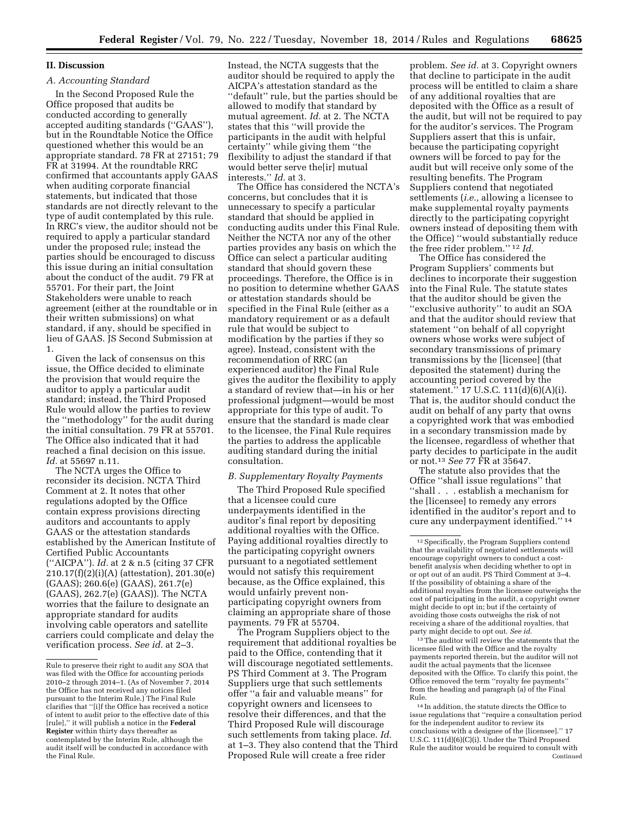### **II. Discussion**

# *A. Accounting Standard*

In the Second Proposed Rule the Office proposed that audits be conducted according to generally accepted auditing standards (''GAAS''), but in the Roundtable Notice the Office questioned whether this would be an appropriate standard. 78 FR at 27151; 79 FR at 31994. At the roundtable RRC confirmed that accountants apply GAAS when auditing corporate financial statements, but indicated that those standards are not directly relevant to the type of audit contemplated by this rule. In RRC's view, the auditor should not be required to apply a particular standard under the proposed rule; instead the parties should be encouraged to discuss this issue during an initial consultation about the conduct of the audit. 79 FR at 55701. For their part, the Joint Stakeholders were unable to reach agreement (either at the roundtable or in their written submissions) on what standard, if any, should be specified in lieu of GAAS. JS Second Submission at 1.

Given the lack of consensus on this issue, the Office decided to eliminate the provision that would require the auditor to apply a particular audit standard; instead, the Third Proposed Rule would allow the parties to review the ''methodology'' for the audit during the initial consultation. 79 FR at 55701. The Office also indicated that it had reached a final decision on this issue. *Id.* at 55697 n.11.

The NCTA urges the Office to reconsider its decision. NCTA Third Comment at 2. It notes that other regulations adopted by the Office contain express provisions directing auditors and accountants to apply GAAS or the attestation standards established by the American Institute of Certified Public Accountants (''AICPA''). *Id.* at 2 & n.5 (citing 37 CFR 210.17(f)(2)(i)(A) (attestation), 201.30(e) (GAAS); 260.6(e) (GAAS), 261.7(e) (GAAS), 262.7(e) (GAAS)). The NCTA worries that the failure to designate an appropriate standard for audits involving cable operators and satellite carriers could complicate and delay the verification process. *See id.* at 2–3.

Instead, the NCTA suggests that the auditor should be required to apply the AICPA's attestation standard as the ''default'' rule, but the parties should be allowed to modify that standard by mutual agreement. *Id.* at 2. The NCTA states that this ''will provide the participants in the audit with helpful certainty'' while giving them ''the flexibility to adjust the standard if that would better serve the[ir] mutual interests.'' *Id.* at 3.

The Office has considered the NCTA's concerns, but concludes that it is unnecessary to specify a particular standard that should be applied in conducting audits under this Final Rule. Neither the NCTA nor any of the other parties provides any basis on which the Office can select a particular auditing standard that should govern these proceedings. Therefore, the Office is in no position to determine whether GAAS or attestation standards should be specified in the Final Rule (either as a mandatory requirement or as a default rule that would be subject to modification by the parties if they so agree). Instead, consistent with the recommendation of RRC (an experienced auditor) the Final Rule gives the auditor the flexibility to apply a standard of review that—in his or her professional judgment—would be most appropriate for this type of audit. To ensure that the standard is made clear to the licensee, the Final Rule requires the parties to address the applicable auditing standard during the initial consultation.

#### *B. Supplementary Royalty Payments*

The Third Proposed Rule specified that a licensee could cure underpayments identified in the auditor's final report by depositing additional royalties with the Office. Paying additional royalties directly to the participating copyright owners pursuant to a negotiated settlement would not satisfy this requirement because, as the Office explained, this would unfairly prevent nonparticipating copyright owners from claiming an appropriate share of those payments. 79 FR at 55704.

The Program Suppliers object to the requirement that additional royalties be paid to the Office, contending that it will discourage negotiated settlements. PS Third Comment at 3. The Program Suppliers urge that such settlements offer ''a fair and valuable means'' for copyright owners and licensees to resolve their differences, and that the Third Proposed Rule will discourage such settlements from taking place. *Id.*  at 1–3. They also contend that the Third Proposed Rule will create a free rider

problem. *See id.* at 3. Copyright owners that decline to participate in the audit process will be entitled to claim a share of any additional royalties that are deposited with the Office as a result of the audit, but will not be required to pay for the auditor's services. The Program Suppliers assert that this is unfair, because the participating copyright owners will be forced to pay for the audit but will receive only some of the resulting benefits. The Program Suppliers contend that negotiated settlements (*i.e.,* allowing a licensee to make supplemental royalty payments directly to the participating copyright owners instead of depositing them with the Office) ''would substantially reduce the free rider problem.'' 12 *Id.* 

The Office has considered the Program Suppliers' comments but declines to incorporate their suggestion into the Final Rule. The statute states that the auditor should be given the ''exclusive authority'' to audit an SOA and that the auditor should review that statement ''on behalf of all copyright owners whose works were subject of secondary transmissions of primary transmissions by the [licensee] (that deposited the statement) during the accounting period covered by the statement." 17 U.S.C. 111(d)(6)(A)(i). That is, the auditor should conduct the audit on behalf of any party that owns a copyrighted work that was embodied in a secondary transmission made by the licensee, regardless of whether that party decides to participate in the audit or not.13 *See* 77 FR at 35647.

The statute also provides that the Office ''shall issue regulations'' that ''shall . . . establish a mechanism for the [licensee] to remedy any errors identified in the auditor's report and to cure any underpayment identified.'' 14

<sup>13</sup>The auditor will review the statements that the licensee filed with the Office and the royalty payments reported therein, but the auditor will not audit the actual payments that the licensee deposited with the Office. To clarify this point, the Office removed the term ''royalty fee payments'' from the heading and paragraph (a) of the Final Rule.

14 In addition, the statute directs the Office to issue regulations that ''require a consultation period for the independent auditor to review its conclusions with a designee of the [licensee].'' 17 U.S.C. 111(d)(6)(C)(i). Under the Third Proposed Rule the auditor would be required to consult with Continued

Rule to preserve their right to audit any SOA that was filed with the Office for accounting periods 2010–2 through 2014–1. (As of November 7, 2014 the Office has not received any notices filed pursuant to the Interim Rule.) The Final Rule clarifies that ''[i]f the Office has received a notice of intent to audit prior to the effective date of this [rule],'' it will publish a notice in the **Federal Register** within thirty days thereafter as contemplated by the Interim Rule, although the audit itself will be conducted in accordance with the Final Rule.

<sup>12</sup>Specifically, the Program Suppliers contend that the availability of negotiated settlements will encourage copyright owners to conduct a costbenefit analysis when deciding whether to opt in or opt out of an audit. PS Third Comment at 3–4. If the possibility of obtaining a share of the additional royalties from the licensee outweighs the cost of participating in the audit, a copyright owner might decide to opt in; but if the certainty of avoiding those costs outweighs the risk of not receiving a share of the additional royalties, that party might decide to opt out. *See id.*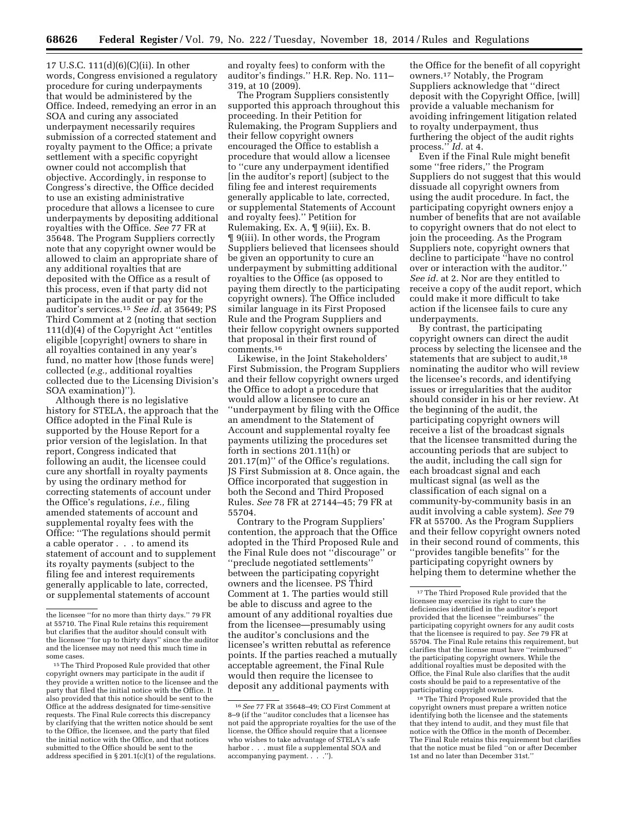17 U.S.C. 111(d)(6)(C)(ii). In other words, Congress envisioned a regulatory procedure for curing underpayments that would be administered by the Office. Indeed, remedying an error in an SOA and curing any associated underpayment necessarily requires submission of a corrected statement and royalty payment to the Office; a private settlement with a specific copyright owner could not accomplish that objective. Accordingly, in response to Congress's directive, the Office decided to use an existing administrative procedure that allows a licensee to cure underpayments by depositing additional royalties with the Office. *See* 77 FR at 35648. The Program Suppliers correctly note that any copyright owner would be allowed to claim an appropriate share of any additional royalties that are deposited with the Office as a result of this process, even if that party did not participate in the audit or pay for the auditor's services.15 *See id.* at 35649; PS Third Comment at 2 (noting that section 111(d)(4) of the Copyright Act ''entitles eligible [copyright] owners to share in all royalties contained in any year's fund, no matter how [those funds were] collected (*e.g.,* additional royalties collected due to the Licensing Division's SOA examination)'').

Although there is no legislative history for STELA, the approach that the Office adopted in the Final Rule is supported by the House Report for a prior version of the legislation. In that report, Congress indicated that following an audit, the licensee could cure any shortfall in royalty payments by using the ordinary method for correcting statements of account under the Office's regulations, *i.e.,* filing amended statements of account and supplemental royalty fees with the Office: ''The regulations should permit a cable operator . . . to amend its statement of account and to supplement its royalty payments (subject to the filing fee and interest requirements generally applicable to late, corrected, or supplemental statements of account

and royalty fees) to conform with the auditor's findings.'' H.R. Rep. No. 111– 319, at 10 (2009).

The Program Suppliers consistently supported this approach throughout this proceeding. In their Petition for Rulemaking, the Program Suppliers and their fellow copyright owners encouraged the Office to establish a procedure that would allow a licensee to ''cure any underpayment identified [in the auditor's report] (subject to the filing fee and interest requirements generally applicable to late, corrected, or supplemental Statements of Account and royalty fees).'' Petition for Rulemaking, Ex. A, ¶ 9(iii), Ex. B. ¶ 9(iii). In other words, the Program Suppliers believed that licensees should be given an opportunity to cure an underpayment by submitting additional royalties to the Office (as opposed to paying them directly to the participating copyright owners). The Office included similar language in its First Proposed Rule and the Program Suppliers and their fellow copyright owners supported that proposal in their first round of comments.16

Likewise, in the Joint Stakeholders' First Submission, the Program Suppliers and their fellow copyright owners urged the Office to adopt a procedure that would allow a licensee to cure an ''underpayment by filing with the Office an amendment to the Statement of Account and supplemental royalty fee payments utilizing the procedures set forth in sections 201.11(h) or 201.17(m)'' of the Office's regulations. JS First Submission at 8. Once again, the Office incorporated that suggestion in both the Second and Third Proposed Rules. *See* 78 FR at 27144–45; 79 FR at 55704.

Contrary to the Program Suppliers' contention, the approach that the Office adopted in the Third Proposed Rule and the Final Rule does not ''discourage'' or ''preclude negotiated settlements'' between the participating copyright owners and the licensee. PS Third Comment at 1. The parties would still be able to discuss and agree to the amount of any additional royalties due from the licensee—presumably using the auditor's conclusions and the licensee's written rebuttal as reference points. If the parties reached a mutually acceptable agreement, the Final Rule would then require the licensee to deposit any additional payments with

the Office for the benefit of all copyright owners.17 Notably, the Program Suppliers acknowledge that ''direct deposit with the Copyright Office, [will] provide a valuable mechanism for avoiding infringement litigation related to royalty underpayment, thus furthering the object of the audit rights process.'' *Id.* at 4.

Even if the Final Rule might benefit some ''free riders,'' the Program Suppliers do not suggest that this would dissuade all copyright owners from using the audit procedure. In fact, the participating copyright owners enjoy a number of benefits that are not available to copyright owners that do not elect to join the proceeding. As the Program Suppliers note, copyright owners that decline to participate ''have no control over or interaction with the auditor.'' *See id.* at 2. Nor are they entitled to receive a copy of the audit report, which could make it more difficult to take action if the licensee fails to cure any underpayments.

By contrast, the participating copyright owners can direct the audit process by selecting the licensee and the statements that are subject to audit,<sup>18</sup> nominating the auditor who will review the licensee's records, and identifying issues or irregularities that the auditor should consider in his or her review. At the beginning of the audit, the participating copyright owners will receive a list of the broadcast signals that the licensee transmitted during the accounting periods that are subject to the audit, including the call sign for each broadcast signal and each multicast signal (as well as the classification of each signal on a community-by-community basis in an audit involving a cable system). *See* 79 FR at 55700. As the Program Suppliers and their fellow copyright owners noted in their second round of comments, this ''provides tangible benefits'' for the participating copyright owners by helping them to determine whether the

18The Third Proposed Rule provided that the copyright owners must prepare a written notice identifying both the licensee and the statements that they intend to audit, and they must file that notice with the Office in the month of December. The Final Rule retains this requirement but clarifies that the notice must be filed ''on or after December 1st and no later than December 31st.''

the licensee ''for no more than thirty days.'' 79 FR at 55710. The Final Rule retains this requirement but clarifies that the auditor should consult with the licensee ''for up to thirty days'' since the auditor and the licensee may not need this much time in some cases.

<sup>15</sup>The Third Proposed Rule provided that other copyright owners may participate in the audit if they provide a written notice to the licensee and the party that filed the initial notice with the Office. It also provided that this notice should be sent to the Office at the address designated for time-sensitive requests. The Final Rule corrects this discrepancy by clarifying that the written notice should be sent to the Office, the licensee, and the party that filed the initial notice with the Office, and that notices submitted to the Office should be sent to the address specified in § 201.1(c)(1) of the regulations.

<sup>16</sup>*See* 77 FR at 35648–49; CO First Comment at 8–9 (if the ''auditor concludes that a licensee has not paid the appropriate royalties for the use of the license, the Office should require that a licensee who wishes to take advantage of STELA's safe harbor . . . must file a supplemental SOA and accompanying payment. . . .'').

<sup>&</sup>lt;sup>17</sup>The Third Proposed Rule provided that the licensee may exercise its right to cure the deficiencies identified in the auditor's report provided that the licensee ''reimburses'' the participating copyright owners for any audit costs that the licensee is required to pay. *See* 79 FR at 55704. The Final Rule retains this requirement, but clarifies that the license must have ''reimbursed'' the participating copyright owners. While the additional royalties must be deposited with the Office, the Final Rule also clarifies that the audit costs should be paid to a representative of the participating copyright owners.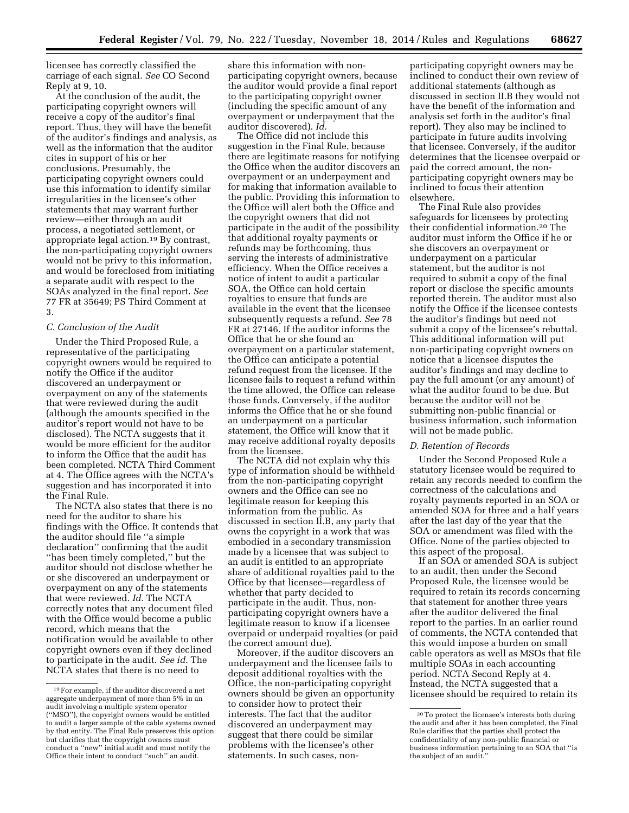licensee has correctly classified the carriage of each signal. *See* CO Second Reply at 9, 10.

At the conclusion of the audit, the participating copyright owners will receive a copy of the auditor's final report. Thus, they will have the benefit of the auditor's findings and analysis, as well as the information that the auditor cites in support of his or her conclusions. Presumably, the participating copyright owners could use this information to identify similar irregularities in the licensee's other statements that may warrant further review—either through an audit process, a negotiated settlement, or appropriate legal action.19 By contrast, the non-participating copyright owners would not be privy to this information, and would be foreclosed from initiating a separate audit with respect to the SOAs analyzed in the final report. *See*  77 FR at 35649; PS Third Comment at 3.

## *C. Conclusion of the Audit*

Under the Third Proposed Rule, a representative of the participating copyright owners would be required to notify the Office if the auditor discovered an underpayment or overpayment on any of the statements that were reviewed during the audit (although the amounts specified in the auditor's report would not have to be disclosed). The NCTA suggests that it would be more efficient for the auditor to inform the Office that the audit has been completed. NCTA Third Comment at 4. The Office agrees with the NCTA's suggestion and has incorporated it into the Final Rule.

The NCTA also states that there is no need for the auditor to share his findings with the Office. It contends that the auditor should file ''a simple declaration'' confirming that the audit ''has been timely completed,'' but the auditor should not disclose whether he or she discovered an underpayment or overpayment on any of the statements that were reviewed. *Id.* The NCTA correctly notes that any document filed with the Office would become a public record, which means that the notification would be available to other copyright owners even if they declined to participate in the audit. *See id.* The NCTA states that there is no need to

share this information with nonparticipating copyright owners, because the auditor would provide a final report to the participating copyright owner (including the specific amount of any overpayment or underpayment that the auditor discovered). *Id.* 

The Office did not include this suggestion in the Final Rule, because there are legitimate reasons for notifying the Office when the auditor discovers an overpayment or an underpayment and for making that information available to the public. Providing this information to the Office will alert both the Office and the copyright owners that did not participate in the audit of the possibility that additional royalty payments or refunds may be forthcoming, thus serving the interests of administrative efficiency. When the Office receives a notice of intent to audit a particular SOA, the Office can hold certain royalties to ensure that funds are available in the event that the licensee subsequently requests a refund. *See* 78 FR at 27146. If the auditor informs the Office that he or she found an overpayment on a particular statement, the Office can anticipate a potential refund request from the licensee. If the licensee fails to request a refund within the time allowed, the Office can release those funds. Conversely, if the auditor informs the Office that he or she found an underpayment on a particular statement, the Office will know that it may receive additional royalty deposits from the licensee.

The NCTA did not explain why this type of information should be withheld from the non-participating copyright owners and the Office can see no legitimate reason for keeping this information from the public. As discussed in section II.B, any party that owns the copyright in a work that was embodied in a secondary transmission made by a licensee that was subject to an audit is entitled to an appropriate share of additional royalties paid to the Office by that licensee—regardless of whether that party decided to participate in the audit. Thus, nonparticipating copyright owners have a legitimate reason to know if a licensee overpaid or underpaid royalties (or paid the correct amount due).

Moreover, if the auditor discovers an underpayment and the licensee fails to deposit additional royalties with the Office, the non-participating copyright owners should be given an opportunity to consider how to protect their interests. The fact that the auditor discovered an underpayment may suggest that there could be similar problems with the licensee's other statements. In such cases, non-

participating copyright owners may be inclined to conduct their own review of additional statements (although as discussed in section II.B they would not have the benefit of the information and analysis set forth in the auditor's final report). They also may be inclined to participate in future audits involving that licensee. Conversely, if the auditor determines that the licensee overpaid or paid the correct amount, the nonparticipating copyright owners may be inclined to focus their attention elsewhere.

The Final Rule also provides safeguards for licensees by protecting their confidential information.20 The auditor must inform the Office if he or she discovers an overpayment or underpayment on a particular statement, but the auditor is not required to submit a copy of the final report or disclose the specific amounts reported therein. The auditor must also notify the Office if the licensee contests the auditor's findings but need not submit a copy of the licensee's rebuttal. This additional information will put non-participating copyright owners on notice that a licensee disputes the auditor's findings and may decline to pay the full amount (or any amount) of what the auditor found to be due. But because the auditor will not be submitting non-public financial or business information, such information will not be made public.

#### *D. Retention of Records*

Under the Second Proposed Rule a statutory licensee would be required to retain any records needed to confirm the correctness of the calculations and royalty payments reported in an SOA or amended SOA for three and a half years after the last day of the year that the SOA or amendment was filed with the Office. None of the parties objected to this aspect of the proposal.

If an SOA or amended SOA is subject to an audit, then under the Second Proposed Rule, the licensee would be required to retain its records concerning that statement for another three years after the auditor delivered the final report to the parties. In an earlier round of comments, the NCTA contended that this would impose a burden on small cable operators as well as MSOs that file multiple SOAs in each accounting period. NCTA Second Reply at 4. Instead, the NCTA suggested that a licensee should be required to retain its

<sup>19</sup>For example, if the auditor discovered a net aggregate underpayment of more than 5% in an audit involving a multiple system operator (''MSO''), the copyright owners would be entitled to audit a larger sample of the cable systems owned by that entity. The Final Rule preserves this option but clarifies that the copyright owners must conduct a ''new'' initial audit and must notify the Office their intent to conduct ''such'' an audit.

<sup>20</sup>To protect the licensee's interests both during the audit and after it has been completed, the Final Rule clarifies that the parties shall protect the confidentiality of any non-public financial or business information pertaining to an SOA that ''is the subject of an audit.''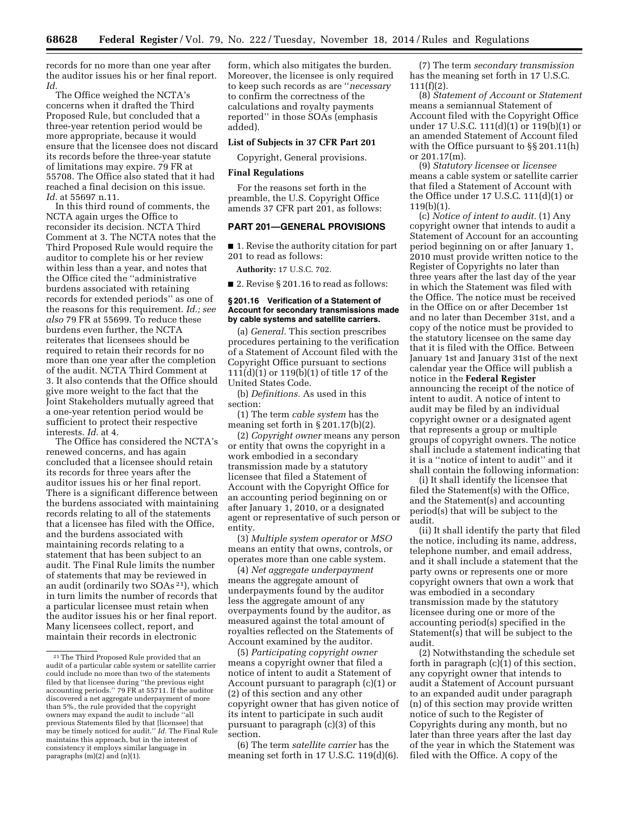records for no more than one year after the auditor issues his or her final report. *Id.* 

The Office weighed the NCTA's concerns when it drafted the Third Proposed Rule, but concluded that a three-year retention period would be more appropriate, because it would ensure that the licensee does not discard its records before the three-year statute of limitations may expire. 79 FR at 55708. The Office also stated that it had reached a final decision on this issue. *Id.* at 55697 n.11.

In this third round of comments, the NCTA again urges the Office to reconsider its decision. NCTA Third Comment at 3. The NCTA notes that the Third Proposed Rule would require the auditor to complete his or her review within less than a year, and notes that the Office cited the ''administrative burdens associated with retaining records for extended periods'' as one of the reasons for this requirement. *Id.; see also* 79 FR at 55699. To reduce these burdens even further, the NCTA reiterates that licensees should be required to retain their records for no more than one year after the completion of the audit. NCTA Third Comment at 3. It also contends that the Office should give more weight to the fact that the Joint Stakeholders mutually agreed that a one-year retention period would be sufficient to protect their respective interests. *Id.* at 4.

The Office has considered the NCTA's renewed concerns, and has again concluded that a licensee should retain its records for three years after the auditor issues his or her final report. There is a significant difference between the burdens associated with maintaining records relating to all of the statements that a licensee has filed with the Office, and the burdens associated with maintaining records relating to a statement that has been subject to an audit. The Final Rule limits the number of statements that may be reviewed in an audit (ordinarily two SOAs 21), which in turn limits the number of records that a particular licensee must retain when the auditor issues his or her final report. Many licensees collect, report, and maintain their records in electronic

form, which also mitigates the burden. Moreover, the licensee is only required to keep such records as are ''*necessary*  to confirm the correctness of the calculations and royalty payments reported'' in those SOAs (emphasis added).

#### **List of Subjects in 37 CFR Part 201**

Copyright, General provisions.

### **Final Regulations**

For the reasons set forth in the preamble, the U.S. Copyright Office amends 37 CFR part 201, as follows:

#### **PART 201—GENERAL PROVISIONS**

■ 1. Revise the authority citation for part 201 to read as follows:

**Authority:** 17 U.S.C. 702.

■ 2. Revise § 201.16 to read as follows:

### **§ 201.16 Verification of a Statement of Account for secondary transmissions made by cable systems and satellite carriers.**

(a) *General.* This section prescribes procedures pertaining to the verification of a Statement of Account filed with the Copyright Office pursuant to sections 111(d)(1) or 119(b)(1) of title 17 of the United States Code.

(b) *Definitions.* As used in this section:

(1) The term *cable system* has the meaning set forth in § 201.17(b)(2).

(2) *Copyright owner* means any person or entity that owns the copyright in a work embodied in a secondary transmission made by a statutory licensee that filed a Statement of Account with the Copyright Office for an accounting period beginning on or after January 1, 2010, or a designated agent or representative of such person or entity.

(3) *Multiple system operator* or *MSO*  means an entity that owns, controls, or operates more than one cable system.

(4) *Net aggregate underpayment*  means the aggregate amount of underpayments found by the auditor less the aggregate amount of any overpayments found by the auditor, as measured against the total amount of royalties reflected on the Statements of Account examined by the auditor.

(5) *Participating copyright owner*  means a copyright owner that filed a notice of intent to audit a Statement of Account pursuant to paragraph (c)(1) or (2) of this section and any other copyright owner that has given notice of its intent to participate in such audit pursuant to paragraph (c)(3) of this section.

(6) The term *satellite carrier* has the meaning set forth in 17 U.S.C. 119(d)(6).

(7) The term *secondary transmission*  has the meaning set forth in 17 U.S.C.  $111(f)(2)$ .

(8) *Statement of Account* or *Statement*  means a semiannual Statement of Account filed with the Copyright Office under 17 U.S.C. 111(d)(1) or 119(b)(1) or an amended Statement of Account filed with the Office pursuant to §§ 201.11(h) or 201.17(m).

(9) *Statutory licensee* or *licensee*  means a cable system or satellite carrier that filed a Statement of Account with the Office under 17 U.S.C. 111(d)(1) or 119(b)(1).

(c) *Notice of intent to audit.* (1) Any copyright owner that intends to audit a Statement of Account for an accounting period beginning on or after January 1, 2010 must provide written notice to the Register of Copyrights no later than three years after the last day of the year in which the Statement was filed with the Office. The notice must be received in the Office on or after December 1st and no later than December 31st, and a copy of the notice must be provided to the statutory licensee on the same day that it is filed with the Office. Between January 1st and January 31st of the next calendar year the Office will publish a notice in the **Federal Register**  announcing the receipt of the notice of intent to audit. A notice of intent to audit may be filed by an individual copyright owner or a designated agent that represents a group or multiple groups of copyright owners. The notice shall include a statement indicating that it is a ''notice of intent to audit'' and it shall contain the following information:

(i) It shall identify the licensee that filed the Statement(s) with the Office, and the Statement(s) and accounting period(s) that will be subject to the audit.

(ii) It shall identify the party that filed the notice, including its name, address, telephone number, and email address, and it shall include a statement that the party owns or represents one or more copyright owners that own a work that was embodied in a secondary transmission made by the statutory licensee during one or more of the accounting period(s) specified in the Statement(s) that will be subject to the audit.

(2) Notwithstanding the schedule set forth in paragraph (c)(1) of this section, any copyright owner that intends to audit a Statement of Account pursuant to an expanded audit under paragraph (n) of this section may provide written notice of such to the Register of Copyrights during any month, but no later than three years after the last day of the year in which the Statement was filed with the Office. A copy of the

<sup>21</sup>The Third Proposed Rule provided that an audit of a particular cable system or satellite carrier could include no more than two of the statements filed by that licensee during ''the previous eight accounting periods.'' 79 FR at 55711. If the auditor discovered a net aggregate underpayment of more than 5%, the rule provided that the copyright owners may expand the audit to include ''all previous Statements filed by that [licensee] that may be timely noticed for audit.'' *Id.* The Final Rule maintains this approach, but in the interest of consistency it employs similar language in paragraphs (m)(2) and (n)(1).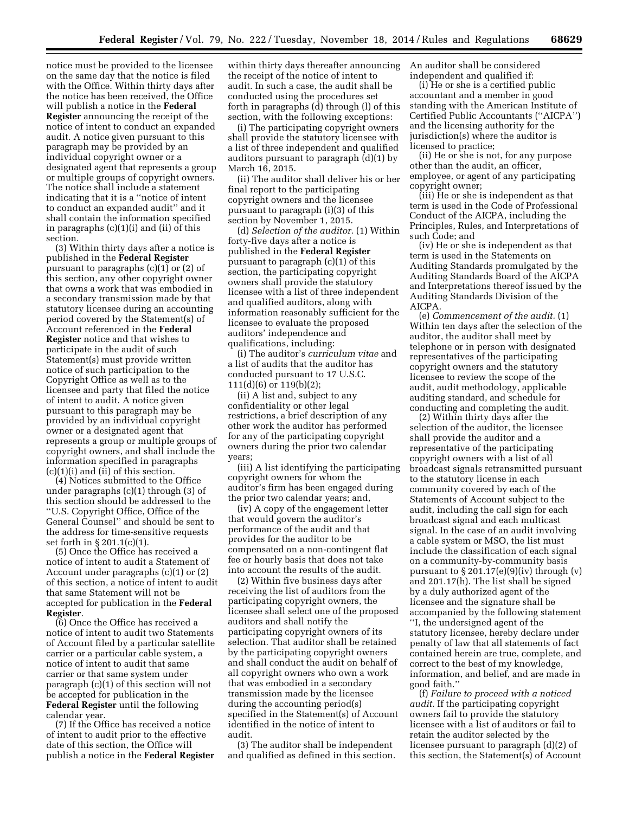notice must be provided to the licensee on the same day that the notice is filed with the Office. Within thirty days after the notice has been received, the Office will publish a notice in the **Federal Register** announcing the receipt of the notice of intent to conduct an expanded audit. A notice given pursuant to this paragraph may be provided by an individual copyright owner or a designated agent that represents a group or multiple groups of copyright owners. The notice shall include a statement indicating that it is a ''notice of intent to conduct an expanded audit'' and it shall contain the information specified in paragraphs (c)(1)(i) and (ii) of this section.

(3) Within thirty days after a notice is published in the **Federal Register**  pursuant to paragraphs (c)(1) or (2) of this section, any other copyright owner that owns a work that was embodied in a secondary transmission made by that statutory licensee during an accounting period covered by the Statement(s) of Account referenced in the **Federal Register** notice and that wishes to participate in the audit of such Statement(s) must provide written notice of such participation to the Copyright Office as well as to the licensee and party that filed the notice of intent to audit. A notice given pursuant to this paragraph may be provided by an individual copyright owner or a designated agent that represents a group or multiple groups of copyright owners, and shall include the information specified in paragraphs (c)(1)(i) and (ii) of this section.

(4) Notices submitted to the Office under paragraphs (c)(1) through (3) of this section should be addressed to the ''U.S. Copyright Office, Office of the General Counsel'' and should be sent to the address for time-sensitive requests set forth in § 201.1(c)(1).

(5) Once the Office has received a notice of intent to audit a Statement of Account under paragraphs (c)(1) or (2) of this section, a notice of intent to audit that same Statement will not be accepted for publication in the **Federal Register**.

(6) Once the Office has received a notice of intent to audit two Statements of Account filed by a particular satellite carrier or a particular cable system, a notice of intent to audit that same carrier or that same system under paragraph (c)(1) of this section will not be accepted for publication in the **Federal Register** until the following calendar year.

(7) If the Office has received a notice of intent to audit prior to the effective date of this section, the Office will publish a notice in the **Federal Register** 

within thirty days thereafter announcing the receipt of the notice of intent to audit. In such a case, the audit shall be conducted using the procedures set forth in paragraphs (d) through (l) of this section, with the following exceptions:

(i) The participating copyright owners shall provide the statutory licensee with a list of three independent and qualified auditors pursuant to paragraph (d)(1) by March 16, 2015.

(ii) The auditor shall deliver his or her final report to the participating copyright owners and the licensee pursuant to paragraph (i)(3) of this section by November 1, 2015.

(d) *Selection of the auditor.* (1) Within forty-five days after a notice is published in the **Federal Register**  pursuant to paragraph (c)(1) of this section, the participating copyright owners shall provide the statutory licensee with a list of three independent and qualified auditors, along with information reasonably sufficient for the licensee to evaluate the proposed auditors' independence and qualifications, including:

(i) The auditor's *curriculum vitae* and a list of audits that the auditor has conducted pursuant to 17 U.S.C. 111(d)(6) or 119(b)(2);

(ii) A list and, subject to any confidentiality or other legal restrictions, a brief description of any other work the auditor has performed for any of the participating copyright owners during the prior two calendar years;

(iii) A list identifying the participating copyright owners for whom the auditor's firm has been engaged during the prior two calendar years; and,

(iv) A copy of the engagement letter that would govern the auditor's performance of the audit and that provides for the auditor to be compensated on a non-contingent flat fee or hourly basis that does not take into account the results of the audit.

(2) Within five business days after receiving the list of auditors from the participating copyright owners, the licensee shall select one of the proposed auditors and shall notify the participating copyright owners of its selection. That auditor shall be retained by the participating copyright owners and shall conduct the audit on behalf of all copyright owners who own a work that was embodied in a secondary transmission made by the licensee during the accounting period(s) specified in the Statement(s) of Account identified in the notice of intent to audit.

(3) The auditor shall be independent and qualified as defined in this section. An auditor shall be considered independent and qualified if:

(i) He or she is a certified public accountant and a member in good standing with the American Institute of Certified Public Accountants (''AICPA'') and the licensing authority for the jurisdiction(s) where the auditor is licensed to practice;

(ii) He or she is not, for any purpose other than the audit, an officer, employee, or agent of any participating copyright owner;

(iii) He or she is independent as that term is used in the Code of Professional Conduct of the AICPA, including the Principles, Rules, and Interpretations of such Code; and

(iv) He or she is independent as that term is used in the Statements on Auditing Standards promulgated by the Auditing Standards Board of the AICPA and Interpretations thereof issued by the Auditing Standards Division of the AICPA.

(e) *Commencement of the audit.* (1) Within ten days after the selection of the auditor, the auditor shall meet by telephone or in person with designated representatives of the participating copyright owners and the statutory licensee to review the scope of the audit, audit methodology, applicable auditing standard, and schedule for conducting and completing the audit.

(2) Within thirty days after the selection of the auditor, the licensee shall provide the auditor and a representative of the participating copyright owners with a list of all broadcast signals retransmitted pursuant to the statutory license in each community covered by each of the Statements of Account subject to the audit, including the call sign for each broadcast signal and each multicast signal. In the case of an audit involving a cable system or MSO, the list must include the classification of each signal on a community-by-community basis pursuant to  $\S 201.17(e)(9)(iv)$  through  $(v)$ and 201.17(h). The list shall be signed by a duly authorized agent of the licensee and the signature shall be accompanied by the following statement ''I, the undersigned agent of the statutory licensee, hereby declare under penalty of law that all statements of fact contained herein are true, complete, and correct to the best of my knowledge, information, and belief, and are made in good faith.''

(f) *Failure to proceed with a noticed audit.* If the participating copyright owners fail to provide the statutory licensee with a list of auditors or fail to retain the auditor selected by the licensee pursuant to paragraph (d)(2) of this section, the Statement(s) of Account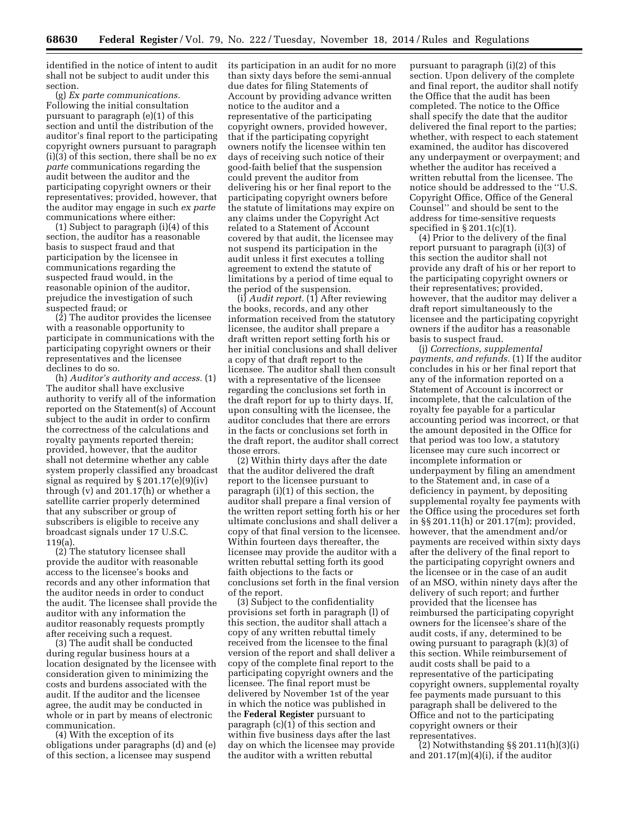identified in the notice of intent to audit shall not be subject to audit under this section.

(g) *Ex parte communications.*  Following the initial consultation pursuant to paragraph (e)(1) of this section and until the distribution of the auditor's final report to the participating copyright owners pursuant to paragraph (i)(3) of this section, there shall be no *ex parte* communications regarding the audit between the auditor and the participating copyright owners or their representatives; provided, however, that the auditor may engage in such *ex parte*  communications where either:

(1) Subject to paragraph (i)(4) of this section, the auditor has a reasonable basis to suspect fraud and that participation by the licensee in communications regarding the suspected fraud would, in the reasonable opinion of the auditor, prejudice the investigation of such suspected fraud; or

(2) The auditor provides the licensee with a reasonable opportunity to participate in communications with the participating copyright owners or their representatives and the licensee declines to do so.

(h) *Auditor's authority and access.* (1) The auditor shall have exclusive authority to verify all of the information reported on the Statement(s) of Account subject to the audit in order to confirm the correctness of the calculations and royalty payments reported therein; provided, however, that the auditor shall not determine whether any cable system properly classified any broadcast signal as required by § 201.17(e)(9)(iv) through (v) and 201.17(h) or whether a satellite carrier properly determined that any subscriber or group of subscribers is eligible to receive any broadcast signals under 17 U.S.C. 119(a).

(2) The statutory licensee shall provide the auditor with reasonable access to the licensee's books and records and any other information that the auditor needs in order to conduct the audit. The licensee shall provide the auditor with any information the auditor reasonably requests promptly after receiving such a request.

(3) The audit shall be conducted during regular business hours at a location designated by the licensee with consideration given to minimizing the costs and burdens associated with the audit. If the auditor and the licensee agree, the audit may be conducted in whole or in part by means of electronic communication.

(4) With the exception of its obligations under paragraphs (d) and (e) of this section, a licensee may suspend

its participation in an audit for no more than sixty days before the semi-annual due dates for filing Statements of Account by providing advance written notice to the auditor and a representative of the participating copyright owners, provided however, that if the participating copyright owners notify the licensee within ten days of receiving such notice of their good-faith belief that the suspension could prevent the auditor from delivering his or her final report to the participating copyright owners before the statute of limitations may expire on any claims under the Copyright Act related to a Statement of Account covered by that audit, the licensee may not suspend its participation in the audit unless it first executes a tolling agreement to extend the statute of limitations by a period of time equal to the period of the suspension.

(i) *Audit report.* (1) After reviewing the books, records, and any other information received from the statutory licensee, the auditor shall prepare a draft written report setting forth his or her initial conclusions and shall deliver a copy of that draft report to the licensee. The auditor shall then consult with a representative of the licensee regarding the conclusions set forth in the draft report for up to thirty days. If, upon consulting with the licensee, the auditor concludes that there are errors in the facts or conclusions set forth in the draft report, the auditor shall correct those errors.

(2) Within thirty days after the date that the auditor delivered the draft report to the licensee pursuant to paragraph (i)(1) of this section, the auditor shall prepare a final version of the written report setting forth his or her ultimate conclusions and shall deliver a copy of that final version to the licensee. Within fourteen days thereafter, the licensee may provide the auditor with a written rebuttal setting forth its good faith objections to the facts or conclusions set forth in the final version of the report.

(3) Subject to the confidentiality provisions set forth in paragraph (l) of this section, the auditor shall attach a copy of any written rebuttal timely received from the licensee to the final version of the report and shall deliver a copy of the complete final report to the participating copyright owners and the licensee. The final report must be delivered by November 1st of the year in which the notice was published in the **Federal Register** pursuant to paragraph (c)(1) of this section and within five business days after the last day on which the licensee may provide the auditor with a written rebuttal

pursuant to paragraph (i)(2) of this section. Upon delivery of the complete and final report, the auditor shall notify the Office that the audit has been completed. The notice to the Office shall specify the date that the auditor delivered the final report to the parties; whether, with respect to each statement examined, the auditor has discovered any underpayment or overpayment; and whether the auditor has received a written rebuttal from the licensee. The notice should be addressed to the ''U.S. Copyright Office, Office of the General Counsel'' and should be sent to the address for time-sensitive requests specified in § 201.1(c)(1).

(4) Prior to the delivery of the final report pursuant to paragraph (i)(3) of this section the auditor shall not provide any draft of his or her report to the participating copyright owners or their representatives; provided, however, that the auditor may deliver a draft report simultaneously to the licensee and the participating copyright owners if the auditor has a reasonable basis to suspect fraud.

(j) *Corrections, supplemental payments, and refunds.* (1) If the auditor concludes in his or her final report that any of the information reported on a Statement of Account is incorrect or incomplete, that the calculation of the royalty fee payable for a particular accounting period was incorrect, or that the amount deposited in the Office for that period was too low, a statutory licensee may cure such incorrect or incomplete information or underpayment by filing an amendment to the Statement and, in case of a deficiency in payment, by depositing supplemental royalty fee payments with the Office using the procedures set forth in §§ 201.11(h) or 201.17(m); provided, however, that the amendment and/or payments are received within sixty days after the delivery of the final report to the participating copyright owners and the licensee or in the case of an audit of an MSO, within ninety days after the delivery of such report; and further provided that the licensee has reimbursed the participating copyright owners for the licensee's share of the audit costs, if any, determined to be owing pursuant to paragraph (k)(3) of this section. While reimbursement of audit costs shall be paid to a representative of the participating copyright owners, supplemental royalty fee payments made pursuant to this paragraph shall be delivered to the Office and not to the participating copyright owners or their representatives.

 $(2)$  Notwithstanding §§ 201.11(h)(3)(i) and  $201.17(m)(4)(i)$ , if the auditor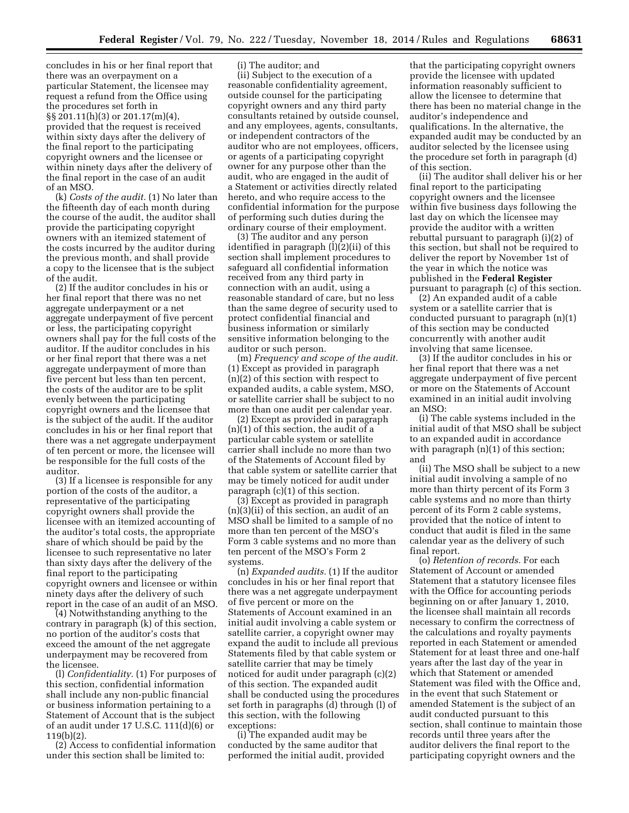concludes in his or her final report that there was an overpayment on a particular Statement, the licensee may request a refund from the Office using the procedures set forth in §§ 201.11(h)(3) or 201.17(m)(4), provided that the request is received within sixty days after the delivery of the final report to the participating copyright owners and the licensee or within ninety days after the delivery of the final report in the case of an audit of an MSO.

(k) *Costs of the audit.* (1) No later than the fifteenth day of each month during the course of the audit, the auditor shall provide the participating copyright owners with an itemized statement of the costs incurred by the auditor during the previous month, and shall provide a copy to the licensee that is the subject of the audit.

(2) If the auditor concludes in his or her final report that there was no net aggregate underpayment or a net aggregate underpayment of five percent or less, the participating copyright owners shall pay for the full costs of the auditor. If the auditor concludes in his or her final report that there was a net aggregate underpayment of more than five percent but less than ten percent, the costs of the auditor are to be split evenly between the participating copyright owners and the licensee that is the subject of the audit. If the auditor concludes in his or her final report that there was a net aggregate underpayment of ten percent or more, the licensee will be responsible for the full costs of the auditor.

(3) If a licensee is responsible for any portion of the costs of the auditor, a representative of the participating copyright owners shall provide the licensee with an itemized accounting of the auditor's total costs, the appropriate share of which should be paid by the licensee to such representative no later than sixty days after the delivery of the final report to the participating copyright owners and licensee or within ninety days after the delivery of such report in the case of an audit of an MSO.

(4) Notwithstanding anything to the contrary in paragraph (k) of this section, no portion of the auditor's costs that exceed the amount of the net aggregate underpayment may be recovered from the licensee.

(l) *Confidentiality.* (1) For purposes of this section, confidential information shall include any non-public financial or business information pertaining to a Statement of Account that is the subject of an audit under 17 U.S.C. 111(d)(6) or 119(b)(2).

(2) Access to confidential information under this section shall be limited to:

(i) The auditor; and

(ii) Subject to the execution of a reasonable confidentiality agreement, outside counsel for the participating copyright owners and any third party consultants retained by outside counsel, and any employees, agents, consultants, or independent contractors of the auditor who are not employees, officers, or agents of a participating copyright owner for any purpose other than the audit, who are engaged in the audit of a Statement or activities directly related hereto, and who require access to the confidential information for the purpose of performing such duties during the ordinary course of their employment.

(3) The auditor and any person identified in paragraph (l)(2)(ii) of this section shall implement procedures to safeguard all confidential information received from any third party in connection with an audit, using a reasonable standard of care, but no less than the same degree of security used to protect confidential financial and business information or similarly sensitive information belonging to the auditor or such person.

(m) *Frequency and scope of the audit.*  (1) Except as provided in paragraph (n)(2) of this section with respect to expanded audits, a cable system, MSO, or satellite carrier shall be subject to no more than one audit per calendar year.

(2) Except as provided in paragraph (n)(1) of this section, the audit of a particular cable system or satellite carrier shall include no more than two of the Statements of Account filed by that cable system or satellite carrier that may be timely noticed for audit under paragraph  $(c)(1)$  of this section.

(3) Except as provided in paragraph (n)(3)(ii) of this section, an audit of an MSO shall be limited to a sample of no more than ten percent of the MSO's Form 3 cable systems and no more than ten percent of the MSO's Form 2 systems.

(n) *Expanded audits.* (1) If the auditor concludes in his or her final report that there was a net aggregate underpayment of five percent or more on the Statements of Account examined in an initial audit involving a cable system or satellite carrier, a copyright owner may expand the audit to include all previous Statements filed by that cable system or satellite carrier that may be timely noticed for audit under paragraph (c)(2) of this section. The expanded audit shall be conducted using the procedures set forth in paragraphs (d) through (l) of this section, with the following exceptions:

(i) The expanded audit may be conducted by the same auditor that performed the initial audit, provided

that the participating copyright owners provide the licensee with updated information reasonably sufficient to allow the licensee to determine that there has been no material change in the auditor's independence and qualifications. In the alternative, the expanded audit may be conducted by an auditor selected by the licensee using the procedure set forth in paragraph (d) of this section.

(ii) The auditor shall deliver his or her final report to the participating copyright owners and the licensee within five business days following the last day on which the licensee may provide the auditor with a written rebuttal pursuant to paragraph (i)(2) of this section, but shall not be required to deliver the report by November 1st of the year in which the notice was published in the **Federal Register**  pursuant to paragraph (c) of this section.

(2) An expanded audit of a cable system or a satellite carrier that is conducted pursuant to paragraph (n)(1) of this section may be conducted concurrently with another audit involving that same licensee.

(3) If the auditor concludes in his or her final report that there was a net aggregate underpayment of five percent or more on the Statements of Account examined in an initial audit involving an MSO:

(i) The cable systems included in the initial audit of that MSO shall be subject to an expanded audit in accordance with paragraph  $(n)(1)$  of this section; and

(ii) The MSO shall be subject to a new initial audit involving a sample of no more than thirty percent of its Form 3 cable systems and no more than thirty percent of its Form 2 cable systems, provided that the notice of intent to conduct that audit is filed in the same calendar year as the delivery of such final report.

(o) *Retention of records.* For each Statement of Account or amended Statement that a statutory licensee files with the Office for accounting periods beginning on or after January 1, 2010, the licensee shall maintain all records necessary to confirm the correctness of the calculations and royalty payments reported in each Statement or amended Statement for at least three and one-half years after the last day of the year in which that Statement or amended Statement was filed with the Office and, in the event that such Statement or amended Statement is the subject of an audit conducted pursuant to this section, shall continue to maintain those records until three years after the auditor delivers the final report to the participating copyright owners and the